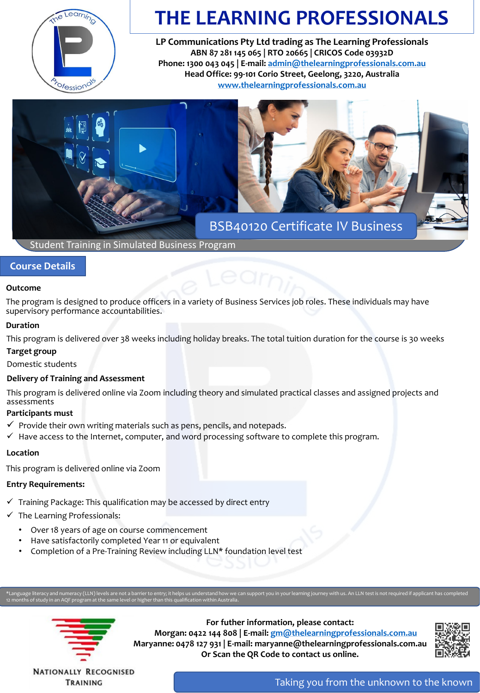

# **THE LEARNING PROFESSIONALS**

**LP Communications Pty Ltd trading as The Learning Professionals ABN 87 281 145 065 | RTO 20665 | CRICOS Code 03932D Phone: 1300 043 045 | E-mail: [admin@thelearningprofessionals.com.au](mailto:admin@thelearningprofessionals.com.au) Head Office: 99-101 Corio Street, Geelong, 3220, Australia [www.thelearningprofessionals.com.au](http://www.thelearningprofessionals.com.au/)**



Student Training in Simulated Business Program

## **Course Details**

## **Outcome**

The program is designed to produce officers in a variety of Business Services job roles. These individuals may have supervisory performance accountabilities.

## **Duration**

This program is delivered over 38 weeks including holiday breaks. The total tuition duration for the course is 30 weeks

## **Target group**

Domestic students

## **Delivery of Training and Assessment**

This program is delivered online via Zoom including theory and simulated practical classes and assigned projects and assessments

## **Participants must**

- $\checkmark$  Provide their own writing materials such as pens, pencils, and notepads.
- $\checkmark$  Have access to the Internet, computer, and word processing software to complete this program.

## **Location**

This program is delivered online via Zoom

## **Entry Requirements:**

- $\checkmark$  Training Package: This qualification may be accessed by direct entry
- $\checkmark$  The Learning Professionals:
	- Over 18 years of age on course commencement
	- Have satisfactorily completed Year 11 or equivalent
	- Completion of a Pre-Training Review including LLN\* foundation level test

12 months of study in an AQF program at the same level or higher than this qualification within Australia.



**For futher information, please contact: Morgan: 0422 144 808 | E-mail: [gm@thelearningprofessionals.com.au](mailto:gm@thelearningprofessionals.com.au) Maryanne: 0478 127 931 | E-mail: maryanne@thelearningprofessionals.com.au Or Scan the QR Code to contact us online.**



**NATIONALLY RECOGNISED** TRAINING

Taking you from the unknown to the known